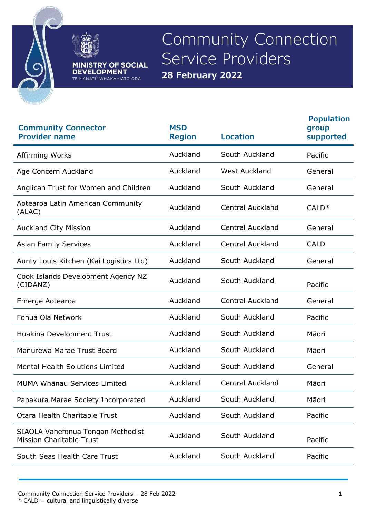

Community Connection Service Providers **28 February 2022**

**MINISTRY OF SOCIAL<br>DEVELOPMENT** TE MANATŪ WHAKAHIATO ORA

| <b>Community Connector</b><br><b>Provider name</b>                   | <b>MSD</b><br><b>Region</b> | <b>Location</b>         | <b>Population</b><br>group<br>supported |
|----------------------------------------------------------------------|-----------------------------|-------------------------|-----------------------------------------|
| Affirming Works                                                      | Auckland                    | South Auckland          | Pacific                                 |
| Age Concern Auckland                                                 | Auckland                    | <b>West Auckland</b>    | General                                 |
| Anglican Trust for Women and Children                                | Auckland                    | South Auckland          | General                                 |
| Aotearoa Latin American Community<br>(ALAC)                          | Auckland                    | <b>Central Auckland</b> | $CALD*$                                 |
| <b>Auckland City Mission</b>                                         | Auckland                    | <b>Central Auckland</b> | General                                 |
| <b>Asian Family Services</b>                                         | Auckland                    | <b>Central Auckland</b> | <b>CALD</b>                             |
| Aunty Lou's Kitchen (Kai Logistics Ltd)                              | Auckland                    | South Auckland          | General                                 |
| Cook Islands Development Agency NZ<br>(CIDANZ)                       | Auckland                    | South Auckland          | Pacific                                 |
| Emerge Aotearoa                                                      | Auckland                    | <b>Central Auckland</b> | General                                 |
| Fonua Ola Network                                                    | Auckland                    | South Auckland          | Pacific                                 |
| Huakina Development Trust                                            | Auckland                    | South Auckland          | Māori                                   |
| Manurewa Marae Trust Board                                           | Auckland                    | South Auckland          | Māori                                   |
| Mental Health Solutions Limited                                      | Auckland                    | South Auckland          | General                                 |
| MUMA Whānau Services Limited                                         | Auckland                    | <b>Central Auckland</b> | Māori                                   |
| Papakura Marae Society Incorporated                                  | Auckland                    | South Auckland          | Māori                                   |
| Otara Health Charitable Trust                                        | Auckland                    | South Auckland          | Pacific                                 |
| SIAOLA Vahefonua Tongan Methodist<br><b>Mission Charitable Trust</b> | Auckland                    | South Auckland          | Pacific                                 |
| South Seas Health Care Trust                                         | Auckland                    | South Auckland          | Pacific                                 |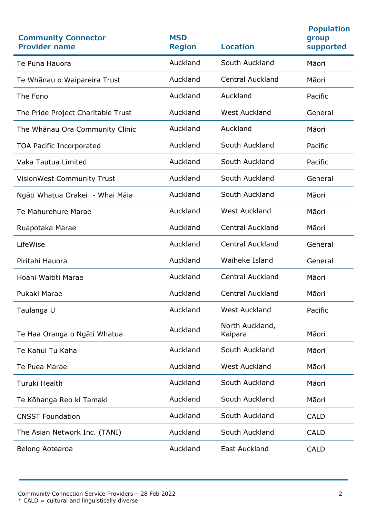| <b>Community Connector</b><br><b>Provider name</b> | <b>MSD</b><br><b>Region</b> | <b>Location</b>            | <b>Population</b><br>group<br>supported |
|----------------------------------------------------|-----------------------------|----------------------------|-----------------------------------------|
| Te Puna Hauora                                     | Auckland                    | South Auckland             | Māori                                   |
| Te Whānau o Waipareira Trust                       | Auckland                    | <b>Central Auckland</b>    | Māori                                   |
| The Fono                                           | Auckland                    | Auckland                   | Pacific                                 |
| The Pride Project Charitable Trust                 | Auckland                    | <b>West Auckland</b>       | General                                 |
| The Whānau Ora Community Clinic                    | Auckland                    | Auckland                   | Māori                                   |
| <b>TOA Pacific Incorporated</b>                    | Auckland                    | South Auckland             | Pacific                                 |
| Vaka Tautua Limited                                | Auckland                    | South Auckland             | Pacific                                 |
| <b>VisionWest Community Trust</b>                  | Auckland                    | South Auckland             | General                                 |
| Ngāti Whatua Orakei - Whai Māia                    | Auckland                    | South Auckland             | Māori                                   |
| Te Mahurehure Marae                                | Auckland                    | <b>West Auckland</b>       | Māori                                   |
| Ruapotaka Marae                                    | Auckland                    | <b>Central Auckland</b>    | Māori                                   |
| LifeWise                                           | Auckland                    | <b>Central Auckland</b>    | General                                 |
| Piritahi Hauora                                    | Auckland                    | Waiheke Island             | General                                 |
| Hoani Waititi Marae                                | Auckland                    | <b>Central Auckland</b>    | Māori                                   |
| Pukaki Marae                                       | Auckland                    | <b>Central Auckland</b>    | Māori                                   |
| Taulanga U                                         | Auckland                    | <b>West Auckland</b>       | Pacific                                 |
| Te Haa Oranga o Ngāti Whatua                       | Auckland                    | North Auckland,<br>Kaipara | Māori                                   |
| Te Kahui Tu Kaha                                   | Auckland                    | South Auckland             | Māori                                   |
| Te Puea Marae                                      | Auckland                    | <b>West Auckland</b>       | Māori                                   |
| Turuki Health                                      | Auckland                    | South Auckland             | Māori                                   |
| Te Kōhanga Reo ki Tamaki                           | Auckland                    | South Auckland             | Māori                                   |
| <b>CNSST Foundation</b>                            | Auckland                    | South Auckland             | <b>CALD</b>                             |
| The Asian Network Inc. (TANI)                      | Auckland                    | South Auckland             | <b>CALD</b>                             |
| Belong Aotearoa                                    | Auckland                    | East Auckland              | <b>CALD</b>                             |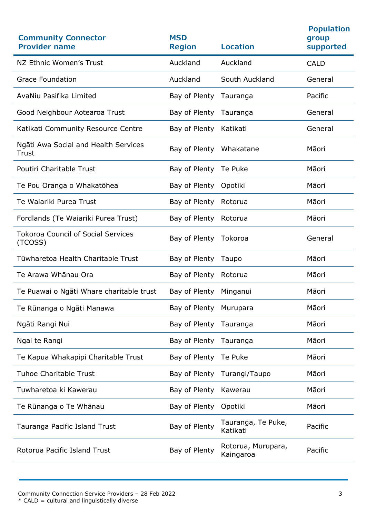| <b>Community Connector</b><br><b>Provider name</b>   | <b>MSD</b><br><b>Region</b> | <b>Location</b>                 | <b>Population</b><br>group<br>supported |
|------------------------------------------------------|-----------------------------|---------------------------------|-----------------------------------------|
| NZ Ethnic Women's Trust                              | Auckland                    | Auckland                        | <b>CALD</b>                             |
| <b>Grace Foundation</b>                              | Auckland                    | South Auckland                  | General                                 |
| AvaNiu Pasifika Limited                              | Bay of Plenty               | Tauranga                        | Pacific                                 |
| Good Neighbour Aotearoa Trust                        | Bay of Plenty               | Tauranga                        | General                                 |
| Katikati Community Resource Centre                   | Bay of Plenty               | Katikati                        | General                                 |
| Ngāti Awa Social and Health Services<br>Trust        | Bay of Plenty Whakatane     |                                 | Māori                                   |
| Poutiri Charitable Trust                             | Bay of Plenty Te Puke       |                                 | Māori                                   |
| Te Pou Oranga o Whakatōhea                           | Bay of Plenty               | Opotiki                         | Māori                                   |
| Te Waiariki Purea Trust                              | Bay of Plenty               | Rotorua                         | Māori                                   |
| Fordlands (Te Waiariki Purea Trust)                  | Bay of Plenty               | Rotorua                         | Māori                                   |
| <b>Tokoroa Council of Social Services</b><br>(TCOSS) | Bay of Plenty Tokoroa       |                                 | General                                 |
| Tūwharetoa Health Charitable Trust                   | Bay of Plenty Taupo         |                                 | Māori                                   |
| Te Arawa Whānau Ora                                  | Bay of Plenty               | Rotorua                         | Māori                                   |
| Te Puawai o Ngāti Whare charitable trust             | Bay of Plenty               | Minganui                        | Māori                                   |
| Te Rūnanga o Ngāti Manawa                            | Bay of Plenty               | Murupara                        | Māori                                   |
| Ngāti Rangi Nui                                      | Bay of Plenty               | Tauranga                        | Māori                                   |
| Ngai te Rangi                                        | Bay of Plenty               | Tauranga                        | Māori                                   |
| Te Kapua Whakapipi Charitable Trust                  | Bay of Plenty               | Te Puke                         | Māori                                   |
| <b>Tuhoe Charitable Trust</b>                        | Bay of Plenty               | Turangi/Taupo                   | Māori                                   |
| Tuwharetoa ki Kawerau                                | Bay of Plenty               | Kawerau                         | Māori                                   |
| Te Rūnanga o Te Whānau                               | Bay of Plenty               | Opotiki                         | Māori                                   |
| Tauranga Pacific Island Trust                        | Bay of Plenty               | Tauranga, Te Puke,<br>Katikati  | Pacific                                 |
| Rotorua Pacific Island Trust                         | Bay of Plenty               | Rotorua, Murupara,<br>Kaingaroa | Pacific                                 |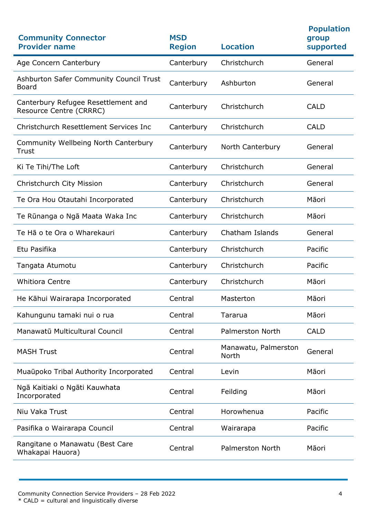| <b>Community Connector</b><br><b>Provider name</b>             | <b>MSD</b><br><b>Region</b> | <b>Location</b>               | <b>Population</b><br>group<br>supported |
|----------------------------------------------------------------|-----------------------------|-------------------------------|-----------------------------------------|
| Age Concern Canterbury                                         | Canterbury                  | Christchurch                  | General                                 |
| Ashburton Safer Community Council Trust<br><b>Board</b>        | Canterbury                  | Ashburton                     | General                                 |
| Canterbury Refugee Resettlement and<br>Resource Centre (CRRRC) | Canterbury                  | Christchurch                  | <b>CALD</b>                             |
| Christchurch Resettlement Services Inc                         | Canterbury                  | Christchurch                  | <b>CALD</b>                             |
| Community Wellbeing North Canterbury<br>Trust                  | Canterbury                  | North Canterbury              | General                                 |
| Ki Te Tihi/The Loft                                            | Canterbury                  | Christchurch                  | General                                 |
| Christchurch City Mission                                      | Canterbury                  | Christchurch                  | General                                 |
| Te Ora Hou Otautahi Incorporated                               | Canterbury                  | Christchurch                  | Māori                                   |
| Te Rūnanga o Ngā Maata Waka Inc                                | Canterbury                  | Christchurch                  | Māori                                   |
| Te Hā o te Ora o Wharekauri                                    | Canterbury                  | Chatham Islands               | General                                 |
| Etu Pasifika                                                   | Canterbury                  | Christchurch                  | Pacific                                 |
| Tangata Atumotu                                                | Canterbury                  | Christchurch                  | Pacific                                 |
| <b>Whitiora Centre</b>                                         | Canterbury                  | Christchurch                  | Māori                                   |
| He Kāhui Wairarapa Incorporated                                | Central                     | Masterton                     | Māori                                   |
| Kahungunu tamaki nui o rua                                     | Central                     | Tararua                       | Māori                                   |
| Manawatū Multicultural Council                                 | Central                     | <b>Palmerston North</b>       | <b>CALD</b>                             |
| <b>MASH Trust</b>                                              | Central                     | Manawatu, Palmerston<br>North | General                                 |
| Muaūpoko Tribal Authority Incorporated                         | Central                     | Levin                         | Māori                                   |
| Ngā Kaitiaki o Ngāti Kauwhata<br>Incorporated                  | Central                     | Feilding                      | Māori                                   |
| Niu Vaka Trust                                                 | Central                     | Horowhenua                    | Pacific                                 |
| Pasifika o Wairarapa Council                                   | Central                     | Wairarapa                     | Pacific                                 |
| Rangitane o Manawatu (Best Care<br>Whakapai Hauora)            | Central                     | <b>Palmerston North</b>       | Māori                                   |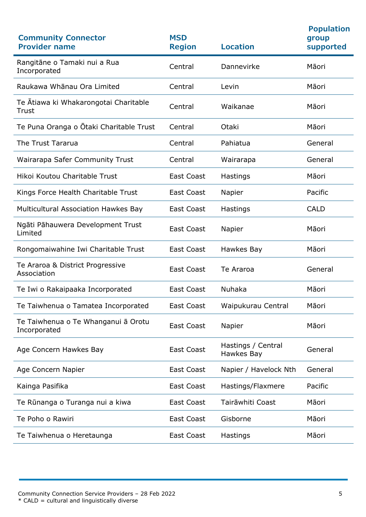| <b>Community Connector</b><br><b>Provider name</b>  | <b>MSD</b><br><b>Region</b> | <b>Location</b>                  | <b>Population</b><br>group<br>supported |
|-----------------------------------------------------|-----------------------------|----------------------------------|-----------------------------------------|
| Rangitāne o Tamaki nui a Rua<br>Incorporated        | Central                     | Dannevirke                       | Māori                                   |
| Raukawa Whānau Ora Limited                          | Central                     | Levin                            | Māori                                   |
| Te Atiawa ki Whakarongotai Charitable<br>Trust      | Central                     | Waikanae                         | Māori                                   |
| Te Puna Oranga o Otaki Charitable Trust             | Central                     | Otaki                            | Māori                                   |
| The Trust Tararua                                   | Central                     | Pahiatua                         | General                                 |
| <b>Wairarapa Safer Community Trust</b>              | Central                     | Wairarapa                        | General                                 |
| Hikoi Koutou Charitable Trust                       | <b>East Coast</b>           | Hastings                         | Māori                                   |
| Kings Force Health Charitable Trust                 | East Coast                  | Napier                           | Pacific                                 |
| Multicultural Association Hawkes Bay                | <b>East Coast</b>           | Hastings                         | <b>CALD</b>                             |
| Ngāti Pāhauwera Development Trust<br>Limited        | <b>East Coast</b>           | Napier                           | Māori                                   |
| Rongomaiwahine Iwi Charitable Trust                 | <b>East Coast</b>           | Hawkes Bay                       | Māori                                   |
| Te Araroa & District Progressive<br>Association     | <b>East Coast</b>           | Te Araroa                        | General                                 |
| Te Iwi o Rakaipaaka Incorporated                    | <b>East Coast</b>           | Nuhaka                           | Māori                                   |
| Te Taiwhenua o Tamatea Incorporated                 | <b>East Coast</b>           | Waipukurau Central               | Māori                                   |
| Te Taiwhenua o Te Whanganui ā Orotu<br>Incorporated | <b>East Coast</b>           | Napier                           | Māori                                   |
| Age Concern Hawkes Bay                              | <b>East Coast</b>           | Hastings / Central<br>Hawkes Bay | General                                 |
| Age Concern Napier                                  | <b>East Coast</b>           | Napier / Havelock Nth            | General                                 |
| Kainga Pasifika                                     | East Coast                  | Hastings/Flaxmere                | Pacific                                 |
| Te Rūnanga o Turanga nui a kiwa                     | East Coast                  | Tairāwhiti Coast                 | Māori                                   |
| Te Poho o Rawiri                                    | <b>East Coast</b>           | Gisborne                         | Māori                                   |
| Te Taiwhenua o Heretaunga                           | <b>East Coast</b>           | Hastings                         | Māori                                   |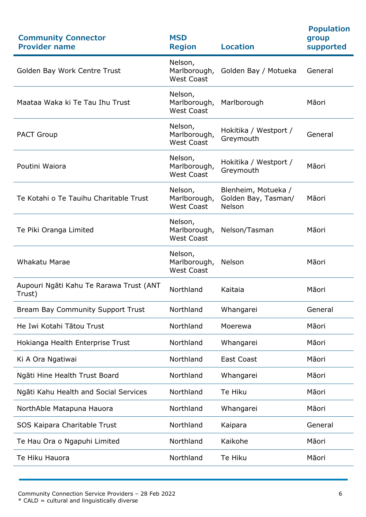| <b>Population</b><br>supported |
|--------------------------------|
|                                |
|                                |
|                                |
|                                |
|                                |
|                                |
|                                |
|                                |
|                                |
|                                |
|                                |
|                                |
|                                |
|                                |
|                                |
|                                |
|                                |
|                                |
|                                |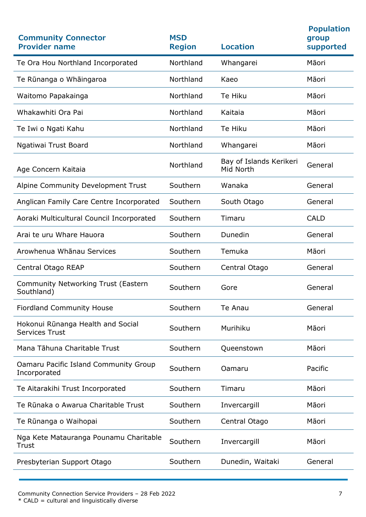| <b>Community Connector</b><br><b>Provider name</b>         | <b>MSD</b><br><b>Region</b> | <b>Location</b>                      | <b>Population</b><br>group<br>supported |
|------------------------------------------------------------|-----------------------------|--------------------------------------|-----------------------------------------|
| Te Ora Hou Northland Incorporated                          | Northland                   | Whangarei                            | Māori                                   |
| Te Rūnanga o Whāingaroa                                    | Northland                   | Kaeo                                 | Māori                                   |
| Waitomo Papakainga                                         | Northland                   | Te Hiku                              | Māori                                   |
| Whakawhiti Ora Pai                                         | Northland                   | Kaitaia                              | Māori                                   |
| Te Iwi o Ngati Kahu                                        | Northland                   | Te Hiku                              | Māori                                   |
| Ngatiwai Trust Board                                       | Northland                   | Whangarei                            | Māori                                   |
| Age Concern Kaitaia                                        | Northland                   | Bay of Islands Kerikeri<br>Mid North | General                                 |
| Alpine Community Development Trust                         | Southern                    | Wanaka                               | General                                 |
| Anglican Family Care Centre Incorporated                   | Southern                    | South Otago                          | General                                 |
| Aoraki Multicultural Council Incorporated                  | Southern                    | Timaru                               | <b>CALD</b>                             |
| Arai te uru Whare Hauora                                   | Southern                    | Dunedin                              | General                                 |
| Arowhenua Whānau Services                                  | Southern                    | Temuka                               | Māori                                   |
| Central Otago REAP                                         | Southern                    | Central Otago                        | General                                 |
| <b>Community Networking Trust (Eastern</b><br>Southland)   | Southern                    | Gore                                 | General                                 |
| <b>Fiordland Community House</b>                           | Southern                    | Te Anau                              | General                                 |
| Hokonui Rūnanga Health and Social<br><b>Services Trust</b> | Southern                    | Murihiku                             | Māori                                   |
| Mana Tāhuna Charitable Trust                               | Southern                    | Queenstown                           | Māori                                   |
| Oamaru Pacific Island Community Group<br>Incorporated      | Southern                    | Oamaru                               | Pacific                                 |
| Te Aitarakihi Trust Incorporated                           | Southern                    | Timaru                               | Māori                                   |
| Te Rūnaka o Awarua Charitable Trust                        | Southern                    | Invercargill                         | Māori                                   |
| Te Rūnanga o Waihopai                                      | Southern                    | Central Otago                        | Māori                                   |
| Nga Kete Matauranga Pounamu Charitable<br>Trust            | Southern                    | Invercargill                         | Māori                                   |
| Presbyterian Support Otago                                 | Southern                    | Dunedin, Waitaki                     | General                                 |
|                                                            |                             |                                      |                                         |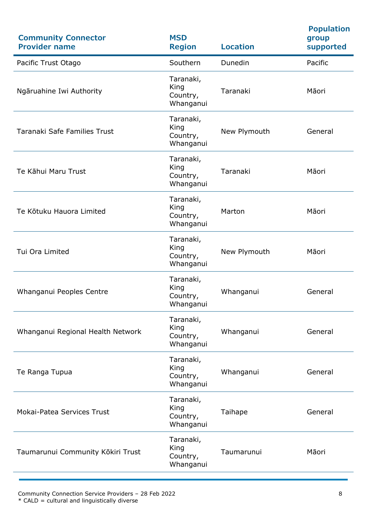| <b>Community Connector</b><br><b>Provider name</b> | <b>MSD</b><br><b>Region</b>                | <b>Location</b> | <b>Population</b><br>group<br>supported |
|----------------------------------------------------|--------------------------------------------|-----------------|-----------------------------------------|
| Pacific Trust Otago                                | Southern                                   | Dunedin         | Pacific                                 |
| Ngāruahine Iwi Authority                           | Taranaki,<br>King<br>Country,<br>Whanganui | Taranaki        | Māori                                   |
| <b>Taranaki Safe Families Trust</b>                | Taranaki,<br>King<br>Country,<br>Whanganui | New Plymouth    | General                                 |
| Te Kāhui Maru Trust                                | Taranaki,<br>King<br>Country,<br>Whanganui | Taranaki        | Māori                                   |
| Te Kōtuku Hauora Limited                           | Taranaki,<br>King<br>Country,<br>Whanganui | Marton          | Māori                                   |
| Tui Ora Limited                                    | Taranaki,<br>King<br>Country,<br>Whanganui | New Plymouth    | Māori                                   |
| Whanganui Peoples Centre                           | Taranaki,<br>King<br>Country,<br>Whanganui | Whanganui       | General                                 |
| Whanganui Regional Health Network                  | Taranaki,<br>King<br>Country,<br>Whanganui | Whanganui       | General                                 |
| Te Ranga Tupua                                     | Taranaki,<br>King<br>Country,<br>Whanganui | Whanganui       | General                                 |
| <b>Mokai-Patea Services Trust</b>                  | Taranaki,<br>King<br>Country,<br>Whanganui | Taihape         | General                                 |
| Taumarunui Community Kōkiri Trust                  | Taranaki,<br>King<br>Country,<br>Whanganui | Taumarunui      | Māori                                   |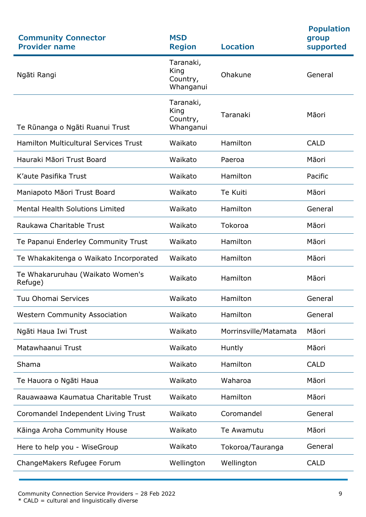| <b>Community Connector</b><br><b>Provider name</b> | <b>MSD</b><br><b>Region</b>                | <b>Location</b>       | <b>Population</b><br>group<br>supported |
|----------------------------------------------------|--------------------------------------------|-----------------------|-----------------------------------------|
| Ngāti Rangi                                        | Taranaki,<br>King<br>Country,<br>Whanganui | Ohakune               | General                                 |
| Te Rūnanga o Ngāti Ruanui Trust                    | Taranaki,<br>King<br>Country,<br>Whanganui | Taranaki              | Māori                                   |
| <b>Hamilton Multicultural Services Trust</b>       | Waikato                                    | Hamilton              | <b>CALD</b>                             |
| Hauraki Māori Trust Board                          | Waikato                                    | Paeroa                | Māori                                   |
| K'aute Pasifika Trust                              | Waikato                                    | Hamilton              | Pacific                                 |
| Maniapoto Māori Trust Board                        | Waikato                                    | Te Kuiti              | Māori                                   |
| <b>Mental Health Solutions Limited</b>             | Waikato                                    | Hamilton              | General                                 |
| Raukawa Charitable Trust                           | Waikato                                    | Tokoroa               | Māori                                   |
| Te Papanui Enderley Community Trust                | Waikato                                    | Hamilton              | Māori                                   |
| Te Whakakitenga o Waikato Incorporated             | Waikato                                    | Hamilton              | Māori                                   |
| Te Whakaruruhau (Waikato Women's<br>Refuge)        | Waikato                                    | Hamilton              | Māori                                   |
| Tuu Ohomai Services                                | Waikato                                    | Hamilton              | General                                 |
| <b>Western Community Association</b>               | Waikato                                    | Hamilton              | General                                 |
| Ngāti Haua Iwi Trust                               | Waikato                                    | Morrinsville/Matamata | Māori                                   |
| Matawhaanui Trust                                  | Waikato                                    | Huntly                | Māori                                   |
| Shama                                              | Waikato                                    | Hamilton              | <b>CALD</b>                             |
| Te Hauora o Ngāti Haua                             | Waikato                                    | Waharoa               | Māori                                   |
| Rauawaawa Kaumatua Charitable Trust                | Waikato                                    | Hamilton              | Māori                                   |
| Coromandel Independent Living Trust                | Waikato                                    | Coromandel            | General                                 |
| Kāinga Aroha Community House                       | Waikato                                    | Te Awamutu            | Māori                                   |
| Here to help you - WiseGroup                       | Waikato                                    | Tokoroa/Tauranga      | General                                 |
| ChangeMakers Refugee Forum                         | Wellington                                 | Wellington            | <b>CALD</b>                             |